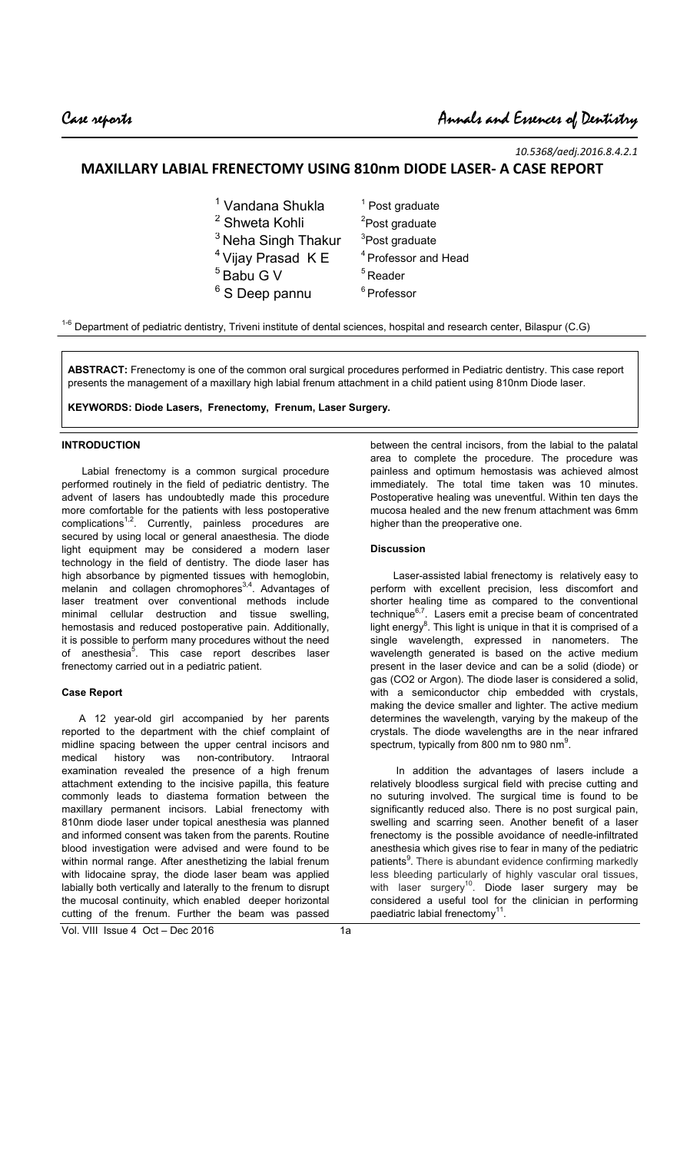$\overline{a}$ 

*10.5368/aedj.2016.8.4.2.1* 

# **MAXILLARY LABIAL FRENECTOMY USING 810nm DIODE LASER- A CASE REPORT**

| <sup>1</sup> Vandana Shukla    | $1$ Post graduate               |
|--------------------------------|---------------------------------|
| <sup>2</sup> Shweta Kohli      | <sup>2</sup> Post graduate      |
| <sup>3</sup> Neha Singh Thakur | <sup>3</sup> Post graduate      |
| $4$ Vijay Prasad K E           | <sup>4</sup> Professor and Head |
| <sup>5</sup> Babu G V          | $5$ Reader                      |
| <sup>6</sup> S Deep pannu      | <sup>6</sup> Professor          |
|                                |                                 |

 $1-6$  Department of pediatric dentistry, Triveni institute of dental sciences, hospital and research center, Bilaspur (C.G)

**ABSTRACT:** Frenectomy is one of the common oral surgical procedures performed in Pediatric dentistry. This case report presents the management of a maxillary high labial frenum attachment in a child patient using 810nm Diode laser.

**KEYWORDS: Diode Lasers, Frenectomy, Frenum, Laser Surgery.** 

## **INTRODUCTION**

 Labial frenectomy is a common surgical procedure performed routinely in the field of pediatric dentistry. The advent of lasers has undoubtedly made this procedure more comfortable for the patients with less postoperative complications<sup>1,2</sup>. Currently, painless procedures are secured by using local or general anaesthesia. The diode light equipment may be considered a modern laser technology in the field of dentistry. The diode laser has high absorbance by pigmented tissues with hemoglobin, melanin and collagen chromophores<sup>3,4</sup>. Advantages of laser treatment over conventional methods include minimal cellular destruction and tissue swelling, hemostasis and reduced postoperative pain. Additionally, it is possible to perform many procedures without the need of anesthesia<sup>5</sup>. This case report describes laser frenectomy carried out in a pediatric patient.

#### **Case Report**

 A 12 year-old girl accompanied by her parents reported to the department with the chief complaint of midline spacing between the upper central incisors and medical history was non-contributory. Intraoral examination revealed the presence of a high frenum attachment extending to the incisive papilla, this feature commonly leads to diastema formation between the maxillary permanent incisors. Labial frenectomy with 810nm diode laser under topical anesthesia was planned and informed consent was taken from the parents. Routine blood investigation were advised and were found to be within normal range. After anesthetizing the labial frenum with lidocaine spray, the diode laser beam was applied labially both vertically and laterally to the frenum to disrupt the mucosal continuity, which enabled deeper horizontal cutting of the frenum. Further the beam was passed

between the central incisors, from the labial to the palatal area to complete the procedure. The procedure was painless and optimum hemostasis was achieved almost immediately. The total time taken was 10 minutes. Postoperative healing was uneventful. Within ten days the mucosa healed and the new frenum attachment was 6mm higher than the preoperative one.

#### **Discussion**

 Laser-assisted labial frenectomy is relatively easy to perform with excellent precision, less discomfort and shorter healing time as compared to the conventional technique $^{6,7}$ . Lasers emit a precise beam of concentrated light energy $^8$ . This light is unique in that it is comprised of a single wavelength, expressed in nanometers. The wavelength generated is based on the active medium present in the laser device and can be a solid (diode) or gas (CO2 or Argon). The diode laser is considered a solid, with a semiconductor chip embedded with crystals, making the device smaller and lighter. The active medium determines the wavelength, varying by the makeup of the crystals. The diode wavelengths are in the near infrared spectrum, typically from 800 nm to 980 nm $^9$ .

 In addition the advantages of lasers include a relatively bloodless surgical field with precise cutting and no suturing involved. The surgical time is found to be significantly reduced also. There is no post surgical pain, swelling and scarring seen. Another benefit of a laser frenectomy is the possible avoidance of needle-infiltrated anesthesia which gives rise to fear in many of the pediatric patients<sup>9</sup>. There is abundant evidence confirming markedly less bleeding particularly of highly vascular oral tissues, with laser surgery<sup>10</sup>. Diode laser surgery may be considered a useful tool for the clinician in performing paediatric labial frenectomy $1$ <sup>1</sup> .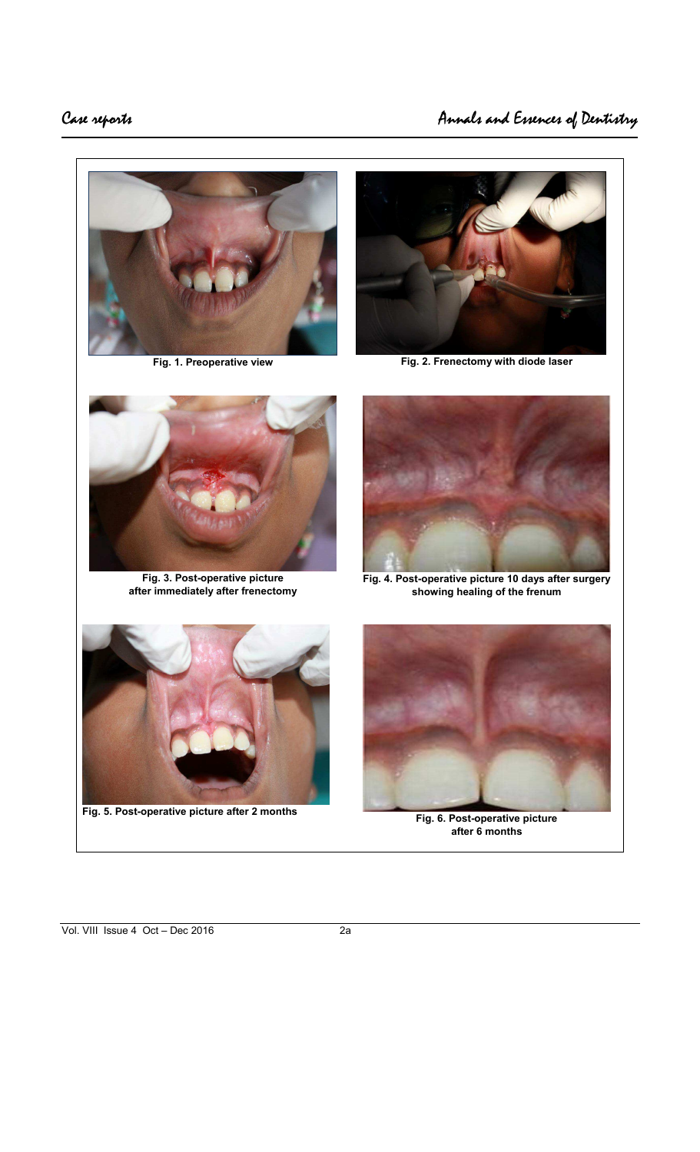



Fig. 1. Preoperative view **Fig. 2. Frenectomy with diode laser** 



**Fig. 3. Post-operative picture after immediately after frenectomy** 



**Fig. 4. Post-operative picture 10 days after surgery showing healing of the frenum** 



**Fig. 5. Post-operative picture after 2 months Fig. 6. Post-operative picture** 



**after 6 months**